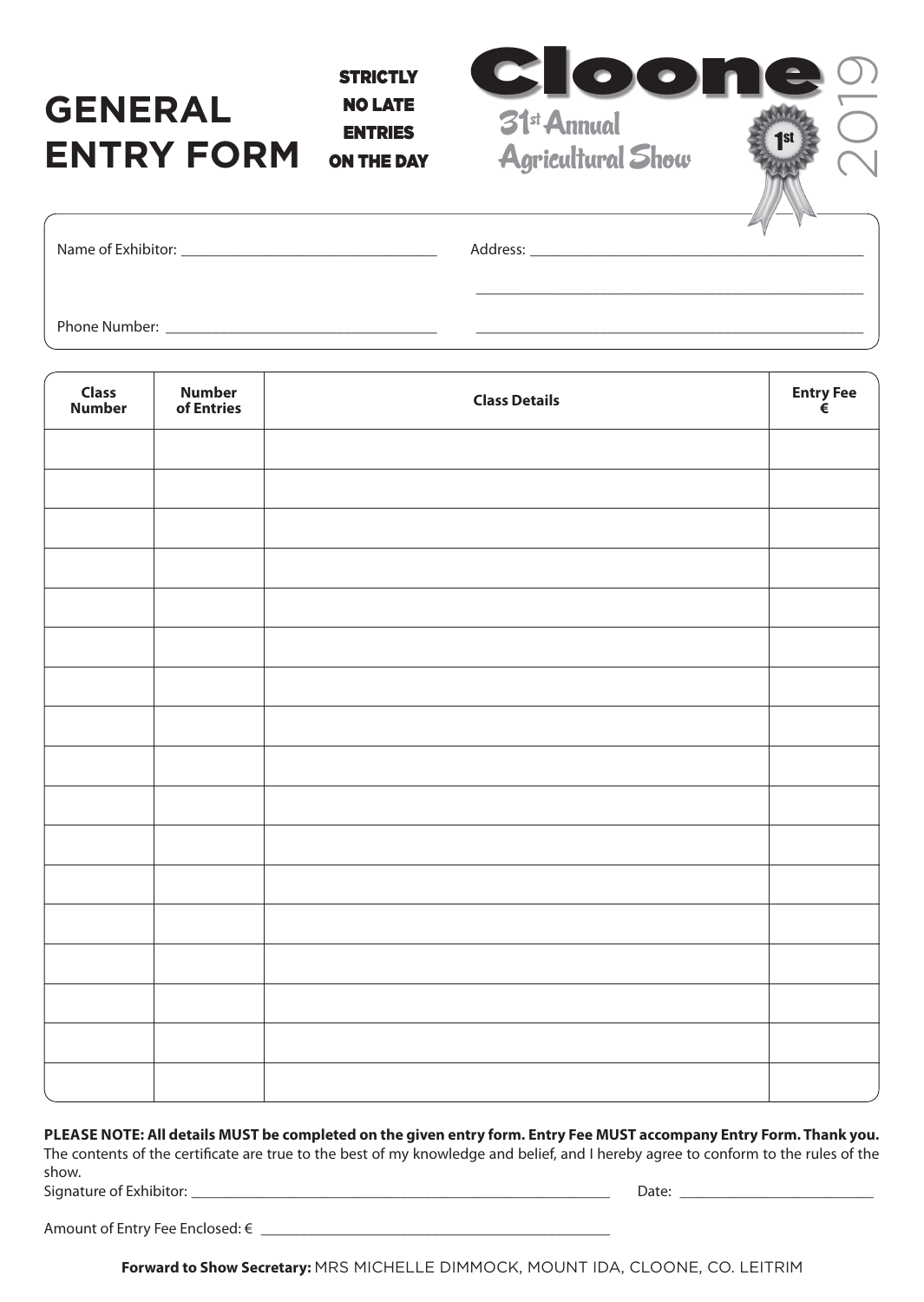## **GENERAL ENTRY FORM**

**STRICTLY** NO LATE ENTRIES ON THE DAY



| Name of Exhibitor: Name of Exhibitor:                                                                                                |  |  |
|--------------------------------------------------------------------------------------------------------------------------------------|--|--|
|                                                                                                                                      |  |  |
| Phone Number:<br><u> 1980 - Jan Sarajević, politički predsjednik i politički predsjednik i politički predsjednik i politički pre</u> |  |  |

| <b>Class</b><br>Number | <b>Number</b><br>of Entries | <b>Class Details</b> | Entry Fee $\in$ |
|------------------------|-----------------------------|----------------------|-----------------|
|                        |                             |                      |                 |
|                        |                             |                      |                 |
|                        |                             |                      |                 |
|                        |                             |                      |                 |
|                        |                             |                      |                 |
|                        |                             |                      |                 |
|                        |                             |                      |                 |
|                        |                             |                      |                 |
|                        |                             |                      |                 |
|                        |                             |                      |                 |
|                        |                             |                      |                 |
|                        |                             |                      |                 |
|                        |                             |                      |                 |
|                        |                             |                      |                 |
|                        |                             |                      |                 |
|                        |                             |                      |                 |
|                        |                             |                      |                 |

## **PLEASE NOTE: All details MUST be completed on the given entry form. Entry Fee MUST accompany Entry Form. Thank you.**

The contents of the certificate are true to the best of my knowledge and belief, and I hereby agree to conform to the rules of the show.

Signature of Exhibitor: \_\_\_\_\_\_\_\_\_\_\_\_\_\_\_\_\_\_\_\_\_\_\_\_\_\_\_\_\_\_\_\_\_\_\_\_\_\_\_\_\_\_\_\_\_\_\_\_\_\_\_\_\_\_ Date: \_\_\_\_\_\_\_\_\_\_\_\_\_\_\_\_\_\_\_\_\_\_\_\_\_

| Amount of Entry Fee Enclosed: € |  |
|---------------------------------|--|
|                                 |  |

**Forward to Show Secretary:** MRS MICHELLE DIMMOCK, MOUNT IDA, CLOONE, CO. LEITRIM